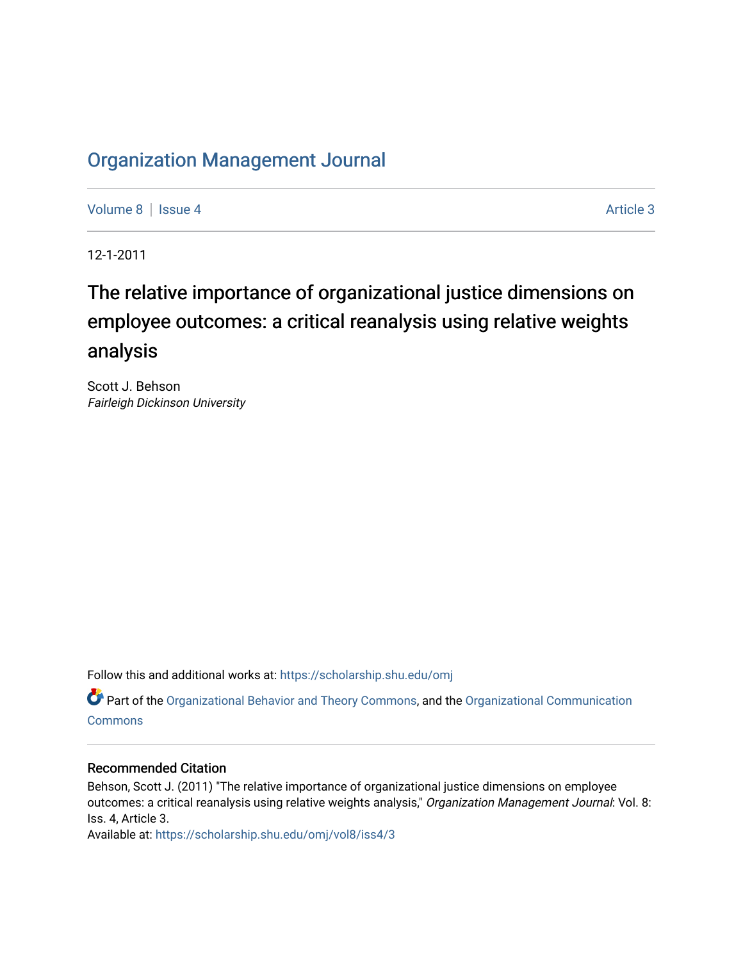## [Organization Management Journal](https://scholarship.shu.edu/omj)

[Volume 8](https://scholarship.shu.edu/omj/vol8) | [Issue 4](https://scholarship.shu.edu/omj/vol8/iss4) Article 3

12-1-2011

# The relative importance of organizational justice dimensions on employee outcomes: a critical reanalysis using relative weights analysis

Scott J. Behson Fairleigh Dickinson University

Follow this and additional works at: [https://scholarship.shu.edu/omj](https://scholarship.shu.edu/omj?utm_source=scholarship.shu.edu%2Fomj%2Fvol8%2Fiss4%2F3&utm_medium=PDF&utm_campaign=PDFCoverPages) 

Part of the [Organizational Behavior and Theory Commons,](http://network.bepress.com/hgg/discipline/639?utm_source=scholarship.shu.edu%2Fomj%2Fvol8%2Fiss4%2F3&utm_medium=PDF&utm_campaign=PDFCoverPages) and the [Organizational Communication](http://network.bepress.com/hgg/discipline/335?utm_source=scholarship.shu.edu%2Fomj%2Fvol8%2Fiss4%2F3&utm_medium=PDF&utm_campaign=PDFCoverPages) **[Commons](http://network.bepress.com/hgg/discipline/335?utm_source=scholarship.shu.edu%2Fomj%2Fvol8%2Fiss4%2F3&utm_medium=PDF&utm_campaign=PDFCoverPages)** 

#### Recommended Citation

Behson, Scott J. (2011) "The relative importance of organizational justice dimensions on employee outcomes: a critical reanalysis using relative weights analysis," Organization Management Journal: Vol. 8: Iss. 4, Article 3.

Available at: [https://scholarship.shu.edu/omj/vol8/iss4/3](https://scholarship.shu.edu/omj/vol8/iss4/3?utm_source=scholarship.shu.edu%2Fomj%2Fvol8%2Fiss4%2F3&utm_medium=PDF&utm_campaign=PDFCoverPages)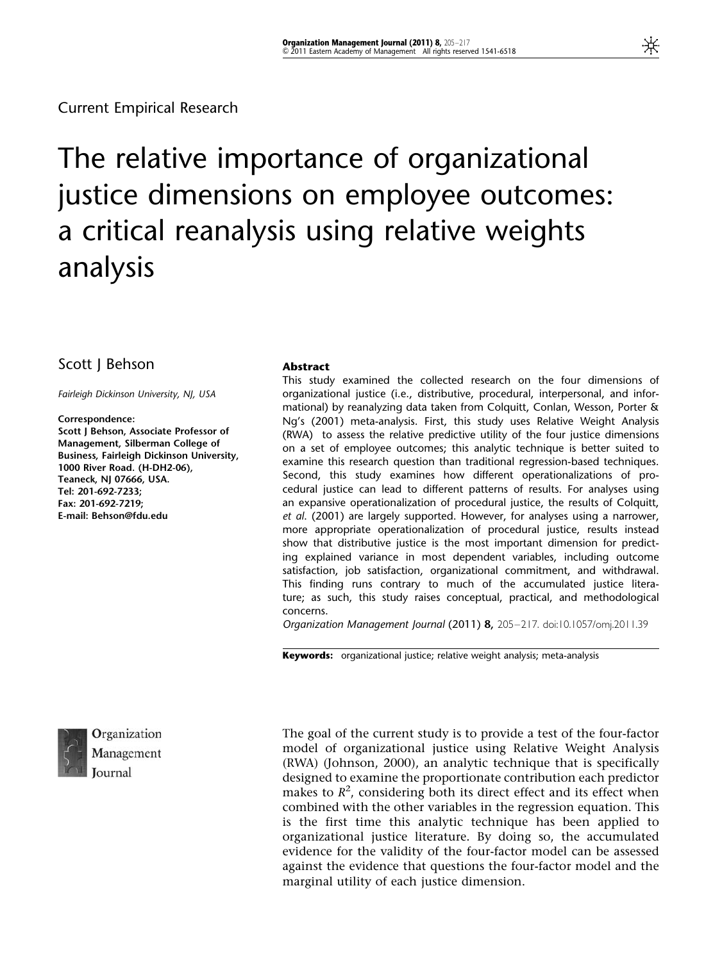Current Empirical Research

# The relative importance of organizational justice dimensions on employee outcomes: a critical reanalysis using relative weights analysis

### Scott J Behson

Fairleigh Dickinson University, NJ, USA

Correspondence: Scott J Behson, Associate Professor of Management, Silberman College of Business, Fairleigh Dickinson University, 1000 River Road. (H-DH2-06), Teaneck, NJ 07666, USA. Tel: 201-692-7233; Fax: 201-692-7219; E-mail: Behson@fdu.edu

#### Abstract

This study examined the collected research on the four dimensions of organizational justice (i.e., distributive, procedural, interpersonal, and informational) by reanalyzing data taken from Colquitt, Conlan, Wesson, Porter & Ng's (2001) meta-analysis. First, this study uses Relative Weight Analysis (RWA) to assess the relative predictive utility of the four justice dimensions on a set of employee outcomes; this analytic technique is better suited to examine this research question than traditional regression-based techniques. Second, this study examines how different operationalizations of procedural justice can lead to different patterns of results. For analyses using an expansive operationalization of procedural justice, the results of Colquitt, et al. (2001) are largely supported. However, for analyses using a narrower, more appropriate operationalization of procedural justice, results instead show that distributive justice is the most important dimension for predicting explained variance in most dependent variables, including outcome satisfaction, job satisfaction, organizational commitment, and withdrawal. This finding runs contrary to much of the accumulated justice literature; as such, this study raises conceptual, practical, and methodological concerns.

Organization Management Journal (2011) 8, 205–217. doi:10.1057/omj.2011.39

Keywords: organizational justice; relative weight analysis; meta-analysis

The goal of the current study is to provide a test of the four-factor model of organizational justice using Relative Weight Analysis (RWA) (Johnson, 2000), an analytic technique that is specifically designed to examine the proportionate contribution each predictor makes to  $R^2$ , considering both its direct effect and its effect when combined with the other variables in the regression equation. This is the first time this analytic technique has been applied to organizational justice literature. By doing so, the accumulated evidence for the validity of the four-factor model can be assessed against the evidence that questions the four-factor model and the marginal utility of each justice dimension.



Organization Management Journal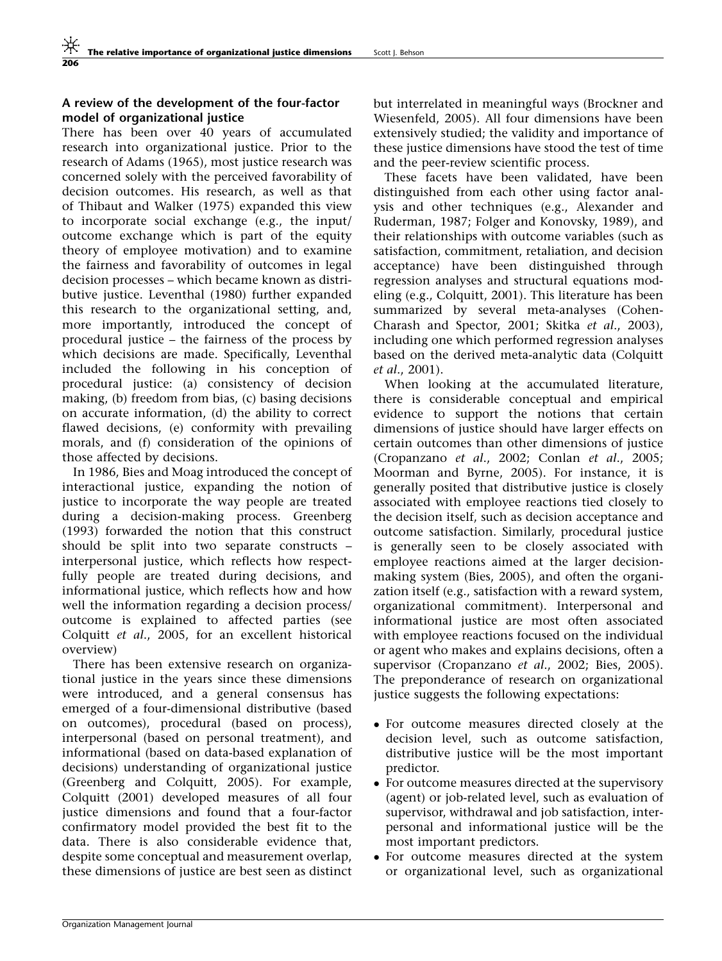#### A review of the development of the four-factor model of organizational justice

There has been over 40 years of accumulated research into organizational justice. Prior to the research of Adams (1965), most justice research was concerned solely with the perceived favorability of decision outcomes. His research, as well as that of Thibaut and Walker (1975) expanded this view to incorporate social exchange (e.g., the input/ outcome exchange which is part of the equity theory of employee motivation) and to examine the fairness and favorability of outcomes in legal decision processes – which became known as distributive justice. Leventhal (1980) further expanded this research to the organizational setting, and, more importantly, introduced the concept of procedural justice – the fairness of the process by which decisions are made. Specifically, Leventhal included the following in his conception of procedural justice: (a) consistency of decision making, (b) freedom from bias, (c) basing decisions on accurate information, (d) the ability to correct flawed decisions, (e) conformity with prevailing morals, and (f) consideration of the opinions of those affected by decisions.

In 1986, Bies and Moag introduced the concept of interactional justice, expanding the notion of justice to incorporate the way people are treated during a decision-making process. Greenberg (1993) forwarded the notion that this construct should be split into two separate constructs – interpersonal justice, which reflects how respectfully people are treated during decisions, and informational justice, which reflects how and how well the information regarding a decision process/ outcome is explained to affected parties (see Colquitt et al., 2005, for an excellent historical overview)

There has been extensive research on organizational justice in the years since these dimensions were introduced, and a general consensus has emerged of a four-dimensional distributive (based on outcomes), procedural (based on process), interpersonal (based on personal treatment), and informational (based on data-based explanation of decisions) understanding of organizational justice (Greenberg and Colquitt, 2005). For example, Colquitt (2001) developed measures of all four justice dimensions and found that a four-factor confirmatory model provided the best fit to the data. There is also considerable evidence that, despite some conceptual and measurement overlap, these dimensions of justice are best seen as distinct but interrelated in meaningful ways (Brockner and Wiesenfeld, 2005). All four dimensions have been extensively studied; the validity and importance of these justice dimensions have stood the test of time and the peer-review scientific process.

These facets have been validated, have been distinguished from each other using factor analysis and other techniques (e.g., Alexander and Ruderman, 1987; Folger and Konovsky, 1989), and their relationships with outcome variables (such as satisfaction, commitment, retaliation, and decision acceptance) have been distinguished through regression analyses and structural equations modeling (e.g., Colquitt, 2001). This literature has been summarized by several meta-analyses (Cohen-Charash and Spector, 2001; Skitka et al., 2003), including one which performed regression analyses based on the derived meta-analytic data (Colquitt et al., 2001).

When looking at the accumulated literature, there is considerable conceptual and empirical evidence to support the notions that certain dimensions of justice should have larger effects on certain outcomes than other dimensions of justice (Cropanzano et al., 2002; Conlan et al., 2005; Moorman and Byrne, 2005). For instance, it is generally posited that distributive justice is closely associated with employee reactions tied closely to the decision itself, such as decision acceptance and outcome satisfaction. Similarly, procedural justice is generally seen to be closely associated with employee reactions aimed at the larger decisionmaking system (Bies, 2005), and often the organization itself (e.g., satisfaction with a reward system, organizational commitment). Interpersonal and informational justice are most often associated with employee reactions focused on the individual or agent who makes and explains decisions, often a supervisor (Cropanzano et al., 2002; Bies, 2005). The preponderance of research on organizational justice suggests the following expectations:

- For outcome measures directed closely at the decision level, such as outcome satisfaction, distributive justice will be the most important predictor.
- For outcome measures directed at the supervisory (agent) or job-related level, such as evaluation of supervisor, withdrawal and job satisfaction, interpersonal and informational justice will be the most important predictors.
- For outcome measures directed at the system or organizational level, such as organizational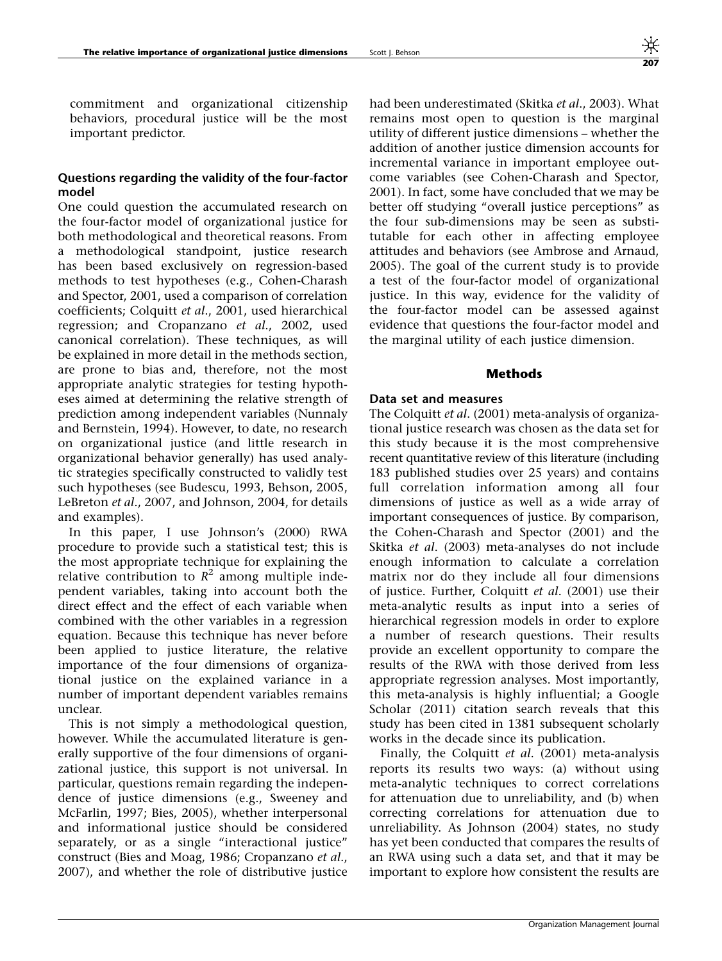commitment and organizational citizenship behaviors, procedural justice will be the most important predictor.

#### Questions regarding the validity of the four-factor model

One could question the accumulated research on the four-factor model of organizational justice for both methodological and theoretical reasons. From a methodological standpoint, justice research has been based exclusively on regression-based methods to test hypotheses (e.g., Cohen-Charash and Spector, 2001, used a comparison of correlation coefficients; Colquitt et al., 2001, used hierarchical regression; and Cropanzano et al., 2002, used canonical correlation). These techniques, as will be explained in more detail in the methods section, are prone to bias and, therefore, not the most appropriate analytic strategies for testing hypotheses aimed at determining the relative strength of prediction among independent variables (Nunnaly and Bernstein, 1994). However, to date, no research on organizational justice (and little research in organizational behavior generally) has used analytic strategies specifically constructed to validly test such hypotheses (see Budescu, 1993, Behson, 2005, LeBreton et al., 2007, and Johnson, 2004, for details and examples).

In this paper, I use Johnson's (2000) RWA procedure to provide such a statistical test; this is the most appropriate technique for explaining the relative contribution to  $R^2$  among multiple independent variables, taking into account both the direct effect and the effect of each variable when combined with the other variables in a regression equation. Because this technique has never before been applied to justice literature, the relative importance of the four dimensions of organizational justice on the explained variance in a number of important dependent variables remains unclear.

This is not simply a methodological question, however. While the accumulated literature is generally supportive of the four dimensions of organizational justice, this support is not universal. In particular, questions remain regarding the independence of justice dimensions (e.g., Sweeney and McFarlin, 1997; Bies, 2005), whether interpersonal and informational justice should be considered separately, or as a single "interactional justice" construct (Bies and Moag, 1986; Cropanzano et al., 2007), and whether the role of distributive justice had been underestimated (Skitka et al., 2003). What remains most open to question is the marginal utility of different justice dimensions – whether the addition of another justice dimension accounts for incremental variance in important employee outcome variables (see Cohen-Charash and Spector, 2001). In fact, some have concluded that we may be better off studying "overall justice perceptions" as the four sub-dimensions may be seen as substitutable for each other in affecting employee attitudes and behaviors (see Ambrose and Arnaud, 2005). The goal of the current study is to provide a test of the four-factor model of organizational justice. In this way, evidence for the validity of the four-factor model can be assessed against evidence that questions the four-factor model and the marginal utility of each justice dimension.

#### **Methods**

#### Data set and measures

The Colquitt et al. (2001) meta-analysis of organizational justice research was chosen as the data set for this study because it is the most comprehensive recent quantitative review of this literature (including 183 published studies over 25 years) and contains full correlation information among all four dimensions of justice as well as a wide array of important consequences of justice. By comparison, the Cohen-Charash and Spector (2001) and the Skitka et al. (2003) meta-analyses do not include enough information to calculate a correlation matrix nor do they include all four dimensions of justice. Further, Colquitt et al. (2001) use their meta-analytic results as input into a series of hierarchical regression models in order to explore a number of research questions. Their results provide an excellent opportunity to compare the results of the RWA with those derived from less appropriate regression analyses. Most importantly, this meta-analysis is highly influential; a Google Scholar (2011) citation search reveals that this study has been cited in 1381 subsequent scholarly works in the decade since its publication.

Finally, the Colquitt et al. (2001) meta-analysis reports its results two ways: (a) without using meta-analytic techniques to correct correlations for attenuation due to unreliability, and (b) when correcting correlations for attenuation due to unreliability. As Johnson (2004) states, no study has yet been conducted that compares the results of an RWA using such a data set, and that it may be important to explore how consistent the results are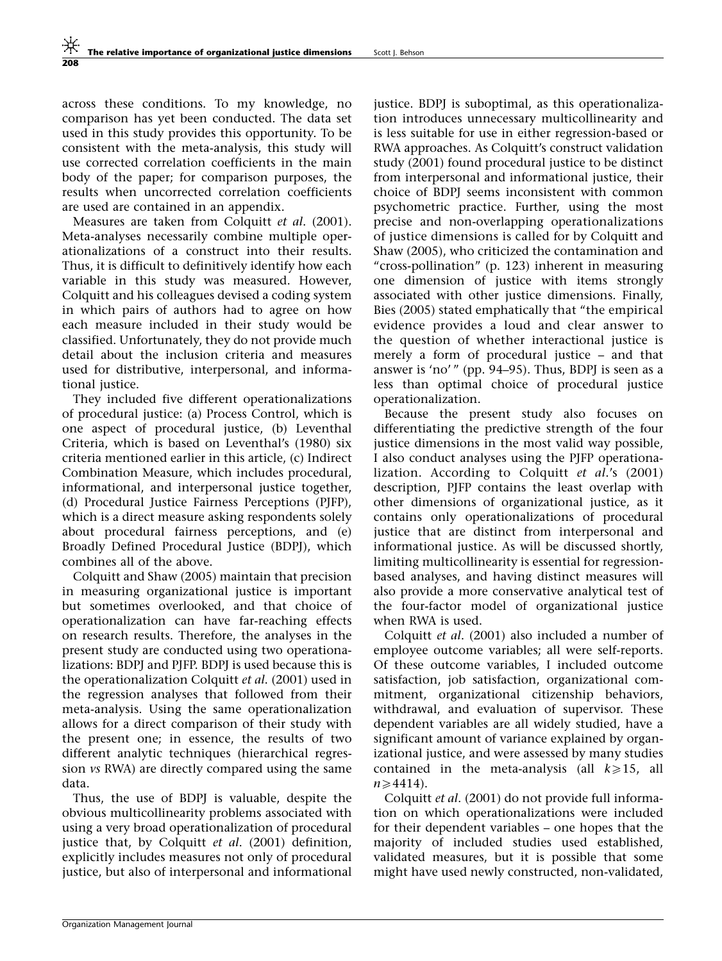across these conditions. To my knowledge, no comparison has yet been conducted. The data set used in this study provides this opportunity. To be consistent with the meta-analysis, this study will use corrected correlation coefficients in the main body of the paper; for comparison purposes, the results when uncorrected correlation coefficients are used are contained in an appendix.

Measures are taken from Colquitt et al. (2001). Meta-analyses necessarily combine multiple operationalizations of a construct into their results. Thus, it is difficult to definitively identify how each variable in this study was measured. However, Colquitt and his colleagues devised a coding system in which pairs of authors had to agree on how each measure included in their study would be classified. Unfortunately, they do not provide much detail about the inclusion criteria and measures used for distributive, interpersonal, and informational justice.

They included five different operationalizations of procedural justice: (a) Process Control, which is one aspect of procedural justice, (b) Leventhal Criteria, which is based on Leventhal's (1980) six criteria mentioned earlier in this article, (c) Indirect Combination Measure, which includes procedural, informational, and interpersonal justice together, (d) Procedural Justice Fairness Perceptions (PJFP), which is a direct measure asking respondents solely about procedural fairness perceptions, and (e) Broadly Defined Procedural Justice (BDPJ), which combines all of the above.

Colquitt and Shaw (2005) maintain that precision in measuring organizational justice is important but sometimes overlooked, and that choice of operationalization can have far-reaching effects on research results. Therefore, the analyses in the present study are conducted using two operationalizations: BDPJ and PJFP. BDPJ is used because this is the operationalization Colquitt et al. (2001) used in the regression analyses that followed from their meta-analysis. Using the same operationalization allows for a direct comparison of their study with the present one; in essence, the results of two different analytic techniques (hierarchical regression vs RWA) are directly compared using the same data.

Thus, the use of BDPJ is valuable, despite the obvious multicollinearity problems associated with using a very broad operationalization of procedural justice that, by Colquitt et al. (2001) definition, explicitly includes measures not only of procedural justice, but also of interpersonal and informational justice. BDPJ is suboptimal, as this operationalization introduces unnecessary multicollinearity and is less suitable for use in either regression-based or RWA approaches. As Colquitt's construct validation study (2001) found procedural justice to be distinct from interpersonal and informational justice, their choice of BDPJ seems inconsistent with common psychometric practice. Further, using the most precise and non-overlapping operationalizations of justice dimensions is called for by Colquitt and Shaw (2005), who criticized the contamination and "cross-pollination" (p. 123) inherent in measuring one dimension of justice with items strongly associated with other justice dimensions. Finally, Bies (2005) stated emphatically that "the empirical evidence provides a loud and clear answer to the question of whether interactional justice is merely a form of procedural justice – and that answer is 'no' " (pp. 94–95). Thus, BDPJ is seen as a less than optimal choice of procedural justice operationalization.

Because the present study also focuses on differentiating the predictive strength of the four justice dimensions in the most valid way possible, I also conduct analyses using the PJFP operationalization. According to Colquitt et al.'s (2001) description, PJFP contains the least overlap with other dimensions of organizational justice, as it contains only operationalizations of procedural justice that are distinct from interpersonal and informational justice. As will be discussed shortly, limiting multicollinearity is essential for regressionbased analyses, and having distinct measures will also provide a more conservative analytical test of the four-factor model of organizational justice when RWA is used.

Colquitt et al. (2001) also included a number of employee outcome variables; all were self-reports. Of these outcome variables, I included outcome satisfaction, job satisfaction, organizational commitment, organizational citizenship behaviors, withdrawal, and evaluation of supervisor. These dependent variables are all widely studied, have a significant amount of variance explained by organizational justice, and were assessed by many studies contained in the meta-analysis (all  $k \geq 15$ , all  $n \geq 4414$ .

Colquitt et al. (2001) do not provide full information on which operationalizations were included for their dependent variables – one hopes that the majority of included studies used established, validated measures, but it is possible that some might have used newly constructed, non-validated,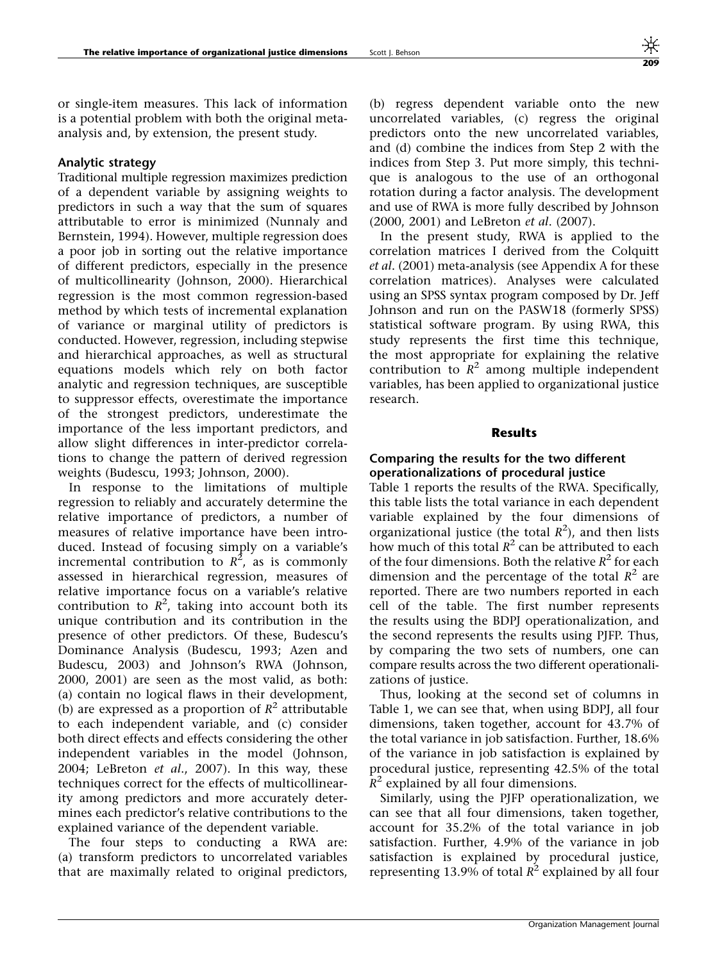or single-item measures. This lack of information is a potential problem with both the original metaanalysis and, by extension, the present study.

#### Analytic strategy

Traditional multiple regression maximizes prediction of a dependent variable by assigning weights to predictors in such a way that the sum of squares attributable to error is minimized (Nunnaly and Bernstein, 1994). However, multiple regression does a poor job in sorting out the relative importance of different predictors, especially in the presence of multicollinearity (Johnson, 2000). Hierarchical regression is the most common regression-based method by which tests of incremental explanation of variance or marginal utility of predictors is conducted. However, regression, including stepwise and hierarchical approaches, as well as structural equations models which rely on both factor analytic and regression techniques, are susceptible to suppressor effects, overestimate the importance of the strongest predictors, underestimate the importance of the less important predictors, and allow slight differences in inter-predictor correlations to change the pattern of derived regression weights (Budescu, 1993; Johnson, 2000).

In response to the limitations of multiple regression to reliably and accurately determine the relative importance of predictors, a number of measures of relative importance have been introduced. Instead of focusing simply on a variable's incremental contribution to  $R^2$ , as is commonly assessed in hierarchical regression, measures of relative importance focus on a variable's relative contribution to  $R^2$ , taking into account both its unique contribution and its contribution in the presence of other predictors. Of these, Budescu's Dominance Analysis (Budescu, 1993; Azen and Budescu, 2003) and Johnson's RWA (Johnson, 2000, 2001) are seen as the most valid, as both: (a) contain no logical flaws in their development, (b) are expressed as a proportion of  $R^2$  attributable to each independent variable, and (c) consider both direct effects and effects considering the other independent variables in the model (Johnson, 2004; LeBreton et al., 2007). In this way, these techniques correct for the effects of multicollinearity among predictors and more accurately determines each predictor's relative contributions to the explained variance of the dependent variable.

The four steps to conducting a RWA are: (a) transform predictors to uncorrelated variables that are maximally related to original predictors,

(b) regress dependent variable onto the new uncorrelated variables, (c) regress the original predictors onto the new uncorrelated variables, and (d) combine the indices from Step 2 with the indices from Step 3. Put more simply, this technique is analogous to the use of an orthogonal rotation during a factor analysis. The development and use of RWA is more fully described by Johnson (2000, 2001) and LeBreton et al. (2007).

In the present study, RWA is applied to the correlation matrices I derived from the Colquitt et al. (2001) meta-analysis (see Appendix A for these correlation matrices). Analyses were calculated using an SPSS syntax program composed by Dr. Jeff Johnson and run on the PASW18 (formerly SPSS) statistical software program. By using RWA, this study represents the first time this technique, the most appropriate for explaining the relative contribution to  $R^2$  among multiple independent variables, has been applied to organizational justice research.

#### **Results**

#### Comparing the results for the two different operationalizations of procedural justice

Table 1 reports the results of the RWA. Specifically, this table lists the total variance in each dependent variable explained by the four dimensions of organizational justice (the total  $R^2$ ), and then lists how much of this total  $R^2$  can be attributed to each of the four dimensions. Both the relative  $R^2$  for each dimension and the percentage of the total  $R^2$  are reported. There are two numbers reported in each cell of the table. The first number represents the results using the BDPJ operationalization, and the second represents the results using PJFP. Thus, by comparing the two sets of numbers, one can compare results across the two different operationalizations of justice.

Thus, looking at the second set of columns in Table 1, we can see that, when using BDPJ, all four dimensions, taken together, account for 43.7% of the total variance in job satisfaction. Further, 18.6% of the variance in job satisfaction is explained by procedural justice, representing 42.5% of the total  $R^2$  explained by all four dimensions.

Similarly, using the PJFP operationalization, we can see that all four dimensions, taken together, account for 35.2% of the total variance in job satisfaction. Further, 4.9% of the variance in job satisfaction is explained by procedural justice, representing 13.9% of total  $R^2$  explained by all four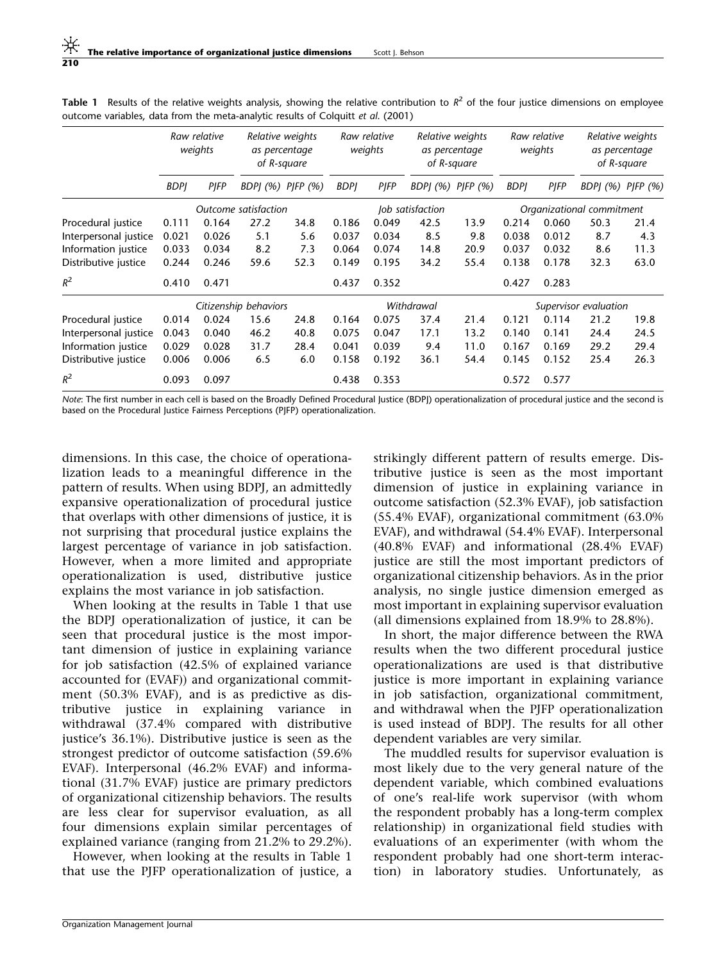|                       | Raw relative<br>weights |       | Relative weights<br>as percentage<br>of R-square |                         | Raw relative<br>weights |             | Relative weights<br>as percentage<br>of R-square |      | Raw relative<br>weights |       | Relative weights<br>as percentage<br>of R-square |                           |  |
|-----------------------|-------------------------|-------|--------------------------------------------------|-------------------------|-------------------------|-------------|--------------------------------------------------|------|-------------------------|-------|--------------------------------------------------|---------------------------|--|
|                       | <b>BDPI</b>             | PIFP  |                                                  | BDPJ $(\%)$ PJFP $(\%)$ | <b>BDPI</b>             | <b>PJFP</b> | $BDPJ (%)$ $PIFP (%)$                            |      | <b>BDPJ</b>             | PIFP  | BDPJ (%) PJFP (%)                                |                           |  |
|                       | Outcome satisfaction    |       |                                                  |                         | Job satisfaction        |             |                                                  |      |                         |       |                                                  | Organizational commitment |  |
| Procedural justice    | 0.111                   | 0.164 | 27.2                                             | 34.8                    | 0.186                   | 0.049       | 42.5                                             | 13.9 | 0.214                   | 0.060 | 50.3                                             | 21.4                      |  |
| Interpersonal justice | 0.021                   | 0.026 | 5.1                                              | 5.6                     | 0.037                   | 0.034       | 8.5                                              | 9.8  | 0.038                   | 0.012 | 8.7                                              | 4.3                       |  |
| Information justice   | 0.033                   | 0.034 | 8.2                                              | 7.3                     | 0.064                   | 0.074       | 14.8                                             | 20.9 | 0.037                   | 0.032 | 8.6                                              | 11.3                      |  |
| Distributive justice  | 0.244                   | 0.246 | 59.6                                             | 52.3                    | 0.149                   | 0.195       | 34.2                                             | 55.4 | 0.138                   | 0.178 | 32.3                                             | 63.0                      |  |
| $R^2$                 | 0.410                   | 0.471 |                                                  |                         | 0.437                   | 0.352       |                                                  |      | 0.427                   | 0.283 |                                                  |                           |  |
|                       | Citizenship behaviors   |       |                                                  |                         | Withdrawal              |             |                                                  |      | Supervisor evaluation   |       |                                                  |                           |  |
| Procedural justice    | 0.014                   | 0.024 | 15.6                                             | 24.8                    | 0.164                   | 0.075       | 37.4                                             | 21.4 | 0.121                   | 0.114 | 21.2                                             | 19.8                      |  |
| Interpersonal justice | 0.043                   | 0.040 | 46.2                                             | 40.8                    | 0.075                   | 0.047       | 17.1                                             | 13.2 | 0.140                   | 0.141 | 24.4                                             | 24.5                      |  |
| Information justice   | 0.029                   | 0.028 | 31.7                                             | 28.4                    | 0.041                   | 0.039       | 9.4                                              | 11.0 | 0.167                   | 0.169 | 29.2                                             | 29.4                      |  |
| Distributive justice  | 0.006                   | 0.006 | 6.5                                              | 6.0                     | 0.158                   | 0.192       | 36.1                                             | 54.4 | 0.145                   | 0.152 | 25.4                                             | 26.3                      |  |
| $R^2$                 | 0.093                   | 0.097 |                                                  |                         | 0.438                   | 0.353       |                                                  |      | 0.572                   | 0.577 |                                                  |                           |  |

**Table 1** Results of the relative weights analysis, showing the relative contribution to  $R^2$  of the four justice dimensions on employee outcome variables, data from the meta-analytic results of Colquitt et al. (2001)

Note: The first number in each cell is based on the Broadly Defined Procedural Justice (BDPJ) operationalization of procedural justice and the second is based on the Procedural Justice Fairness Perceptions (PJFP) operationalization.

dimensions. In this case, the choice of operationalization leads to a meaningful difference in the pattern of results. When using BDPJ, an admittedly expansive operationalization of procedural justice that overlaps with other dimensions of justice, it is not surprising that procedural justice explains the largest percentage of variance in job satisfaction. However, when a more limited and appropriate operationalization is used, distributive justice explains the most variance in job satisfaction.

When looking at the results in Table 1 that use the BDPJ operationalization of justice, it can be seen that procedural justice is the most important dimension of justice in explaining variance for job satisfaction (42.5% of explained variance accounted for (EVAF)) and organizational commitment (50.3% EVAF), and is as predictive as distributive justice in explaining variance in withdrawal (37.4% compared with distributive justice's 36.1%). Distributive justice is seen as the strongest predictor of outcome satisfaction (59.6% EVAF). Interpersonal (46.2% EVAF) and informational (31.7% EVAF) justice are primary predictors of organizational citizenship behaviors. The results are less clear for supervisor evaluation, as all four dimensions explain similar percentages of explained variance (ranging from 21.2% to 29.2%).

However, when looking at the results in Table 1 that use the PJFP operationalization of justice, a strikingly different pattern of results emerge. Distributive justice is seen as the most important dimension of justice in explaining variance in outcome satisfaction (52.3% EVAF), job satisfaction (55.4% EVAF), organizational commitment (63.0% EVAF), and withdrawal (54.4% EVAF). Interpersonal (40.8% EVAF) and informational (28.4% EVAF) justice are still the most important predictors of organizational citizenship behaviors. As in the prior analysis, no single justice dimension emerged as most important in explaining supervisor evaluation (all dimensions explained from 18.9% to 28.8%).

In short, the major difference between the RWA results when the two different procedural justice operationalizations are used is that distributive justice is more important in explaining variance in job satisfaction, organizational commitment, and withdrawal when the PJFP operationalization is used instead of BDPJ. The results for all other dependent variables are very similar.

The muddled results for supervisor evaluation is most likely due to the very general nature of the dependent variable, which combined evaluations of one's real-life work supervisor (with whom the respondent probably has a long-term complex relationship) in organizational field studies with evaluations of an experimenter (with whom the respondent probably had one short-term interaction) in laboratory studies. Unfortunately, as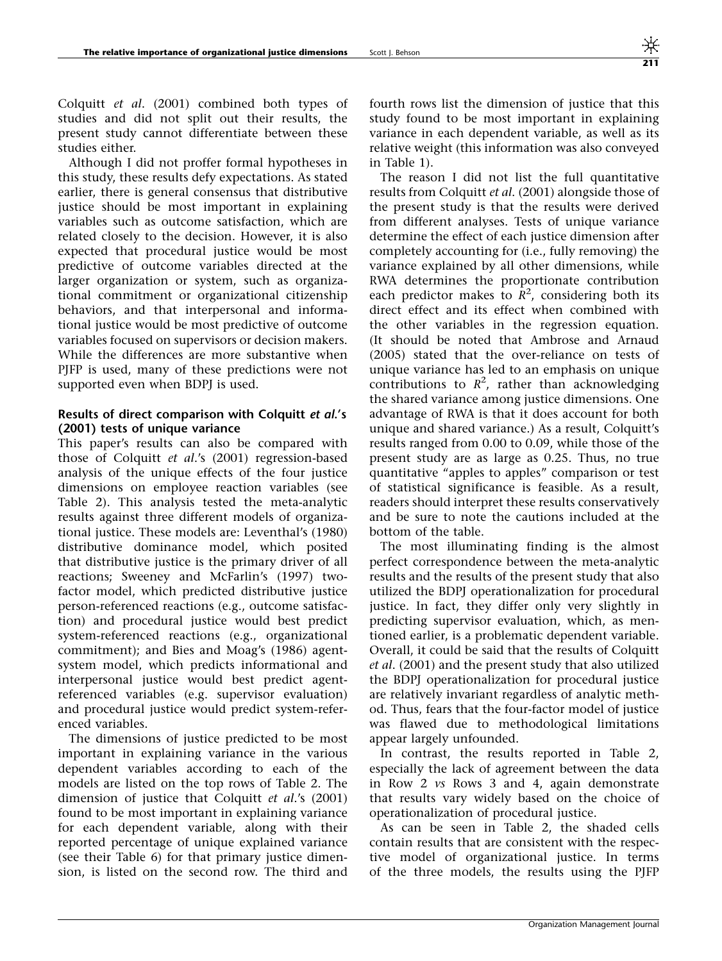Colquitt et al. (2001) combined both types of studies and did not split out their results, the present study cannot differentiate between these studies either.

Although I did not proffer formal hypotheses in this study, these results defy expectations. As stated earlier, there is general consensus that distributive justice should be most important in explaining variables such as outcome satisfaction, which are related closely to the decision. However, it is also expected that procedural justice would be most predictive of outcome variables directed at the larger organization or system, such as organizational commitment or organizational citizenship behaviors, and that interpersonal and informational justice would be most predictive of outcome variables focused on supervisors or decision makers. While the differences are more substantive when PJFP is used, many of these predictions were not supported even when BDPJ is used.

#### Results of direct comparison with Colquitt et al.'s (2001) tests of unique variance

This paper's results can also be compared with those of Colquitt et al.'s (2001) regression-based analysis of the unique effects of the four justice dimensions on employee reaction variables (see Table 2). This analysis tested the meta-analytic results against three different models of organizational justice. These models are: Leventhal's (1980) distributive dominance model, which posited that distributive justice is the primary driver of all reactions; Sweeney and McFarlin's (1997) twofactor model, which predicted distributive justice person-referenced reactions (e.g., outcome satisfaction) and procedural justice would best predict system-referenced reactions (e.g., organizational commitment); and Bies and Moag's (1986) agentsystem model, which predicts informational and interpersonal justice would best predict agentreferenced variables (e.g. supervisor evaluation) and procedural justice would predict system-referenced variables.

The dimensions of justice predicted to be most important in explaining variance in the various dependent variables according to each of the models are listed on the top rows of Table 2. The dimension of justice that Colquitt et al.'s (2001) found to be most important in explaining variance for each dependent variable, along with their reported percentage of unique explained variance (see their Table 6) for that primary justice dimension, is listed on the second row. The third and fourth rows list the dimension of justice that this study found to be most important in explaining variance in each dependent variable, as well as its relative weight (this information was also conveyed in Table 1).

The reason I did not list the full quantitative results from Colquitt et al. (2001) alongside those of the present study is that the results were derived from different analyses. Tests of unique variance determine the effect of each justice dimension after completely accounting for (i.e., fully removing) the variance explained by all other dimensions, while RWA determines the proportionate contribution each predictor makes to  $\overline{R}^2$ , considering both its direct effect and its effect when combined with the other variables in the regression equation. (It should be noted that Ambrose and Arnaud (2005) stated that the over-reliance on tests of unique variance has led to an emphasis on unique contributions to  $R^2$ , rather than acknowledging the shared variance among justice dimensions. One advantage of RWA is that it does account for both unique and shared variance.) As a result, Colquitt's results ranged from 0.00 to 0.09, while those of the present study are as large as 0.25. Thus, no true quantitative "apples to apples" comparison or test of statistical significance is feasible. As a result, readers should interpret these results conservatively and be sure to note the cautions included at the bottom of the table.

The most illuminating finding is the almost perfect correspondence between the meta-analytic results and the results of the present study that also utilized the BDPJ operationalization for procedural justice. In fact, they differ only very slightly in predicting supervisor evaluation, which, as mentioned earlier, is a problematic dependent variable. Overall, it could be said that the results of Colquitt et al. (2001) and the present study that also utilized the BDPJ operationalization for procedural justice are relatively invariant regardless of analytic method. Thus, fears that the four-factor model of justice was flawed due to methodological limitations appear largely unfounded.

In contrast, the results reported in Table 2, especially the lack of agreement between the data in Row 2 vs Rows 3 and 4, again demonstrate that results vary widely based on the choice of operationalization of procedural justice.

As can be seen in Table 2, the shaded cells contain results that are consistent with the respective model of organizational justice. In terms of the three models, the results using the PJFP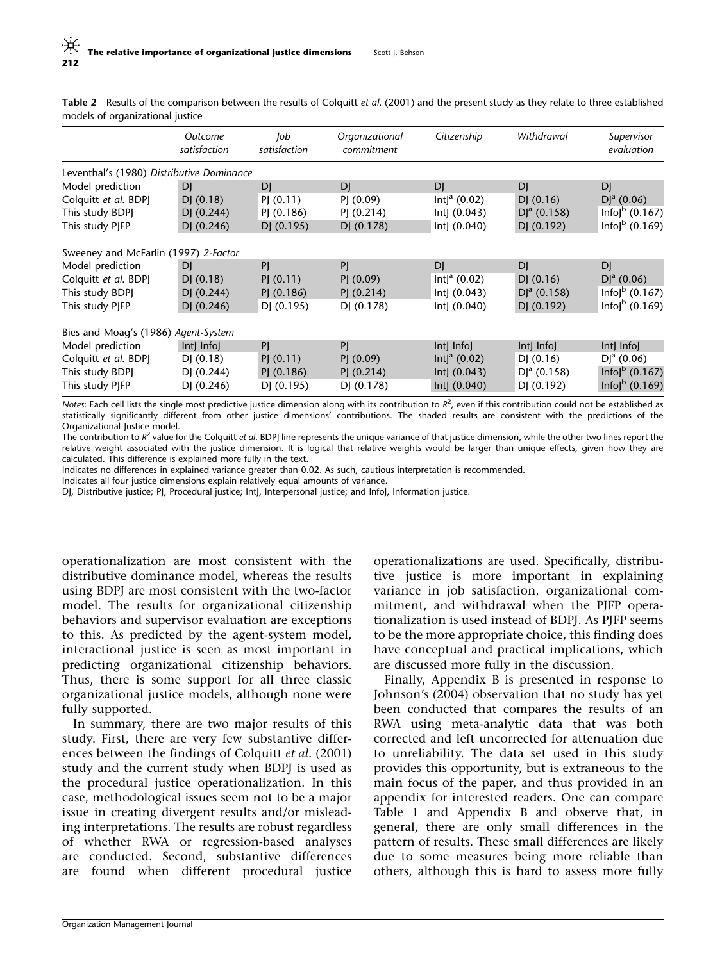|                                           | Outcome<br>satisfaction | Job<br>satisfaction | Organizational<br>commitment | Citizenship                                     | Withdrawal   | Supervisor<br>evaluation   |
|-------------------------------------------|-------------------------|---------------------|------------------------------|-------------------------------------------------|--------------|----------------------------|
| Leventhal's (1980) Distributive Dominance |                         |                     |                              |                                                 |              |                            |
| Model prediction                          | D                       | D                   | D                            | D                                               | DJ           | D                          |
| Colquitt et al. BDPJ                      | D(0.18)                 | P(0.11)             | P(0.09)                      | $\left[ \text{Int} \right]$ <sup>a</sup> (0.02) | D(0.16)      | $D ^{a}$ (0.06)            |
| This study BDPJ                           | D(0.244)                | P(0.186)            | $P($ (0.214)                 | $Int[$ (0.043)                                  | $Da$ (0.158) | Infol <sup>b</sup> (0.167) |
| This study PJFP                           | D(0.246)                | DJ(0.195)           | DJ(0.178)                    | Int(0.040)                                      | DJ(0.192)    | InfoJ $b$ (0.169)          |
| Sweeney and McFarlin (1997) 2-Factor      |                         |                     |                              |                                                 |              |                            |
| Model prediction                          | D                       | P                   | P                            | D                                               | DJ           | D                          |
| Colquitt et al. BDPJ                      | D(0.18)                 | P(0.11)             | P(0.09)                      | Int <sup>a</sup> (0.02)                         | D(0.16)      | $Da$ (0.06)                |
| This study BDPJ                           | DJ(0.244)               | P(0.186)            | P(0.214)                     | $Int[$ (0.043)                                  | $Da$ (0.158) | $Infoj^b(0.167)$           |
| This study PJFP                           | D(0.246)                | D(0.195)            | D(0.178)                     | IntJ (0.040)                                    | D(0.192)     | Infol <sup>b</sup> (0.169) |
| Bies and Moag's (1986) Agent-System       |                         |                     |                              |                                                 |              |                            |
| Model prediction                          | Intl Infol              | P                   | P                            | Intl Infol                                      | Intl Infol   | Intl Infol                 |
| Colquitt et al. BDPJ                      | DJ(0.18)                | P(0.11)             | P(0.09)                      | $Int^{a} (0.02)$                                | D(0.16)      | $Da$ (0.06)                |
| This study BDPJ                           | D(0.244)                | P(0.186)            | P(0.214)                     | $Int[$ (0.043)                                  | $Da$ (0.158) | Infol <sup>b</sup> (0.167) |
| This study PJFP                           | DJ(0.246)               | DJ(0.195)           | D(0.178)                     | IntJ (0.040)                                    | DJ (0.192)   | Infol <sup>b</sup> (0.169) |

Table 2 Results of the comparison between the results of Colquitt et al. (2001) and the present study as they relate to three established models of organizational justice

Notes: Each cell lists the single most predictive justice dimension along with its contribution to  $R^2$ , even if this contribution could not be established as statistically significantly different from other justice dimensions' contributions. The shaded results are consistent with the predictions of the Organizational Justice model.

The contribution to  $R^2$  value for the Colquitt et al. BDPJ line represents the unique variance of that justice dimension, while the other two lines report the relative weight associated with the justice dimension. It is logical that relative weights would be larger than unique effects, given how they are calculated. This difference is explained more fully in the text.

Indicates no differences in explained variance greater than 0.02. As such, cautious interpretation is recommended.

Indicates all four justice dimensions explain relatively equal amounts of variance.

DJ, Distributive justice; PJ, Procedural justice; IntJ, Interpersonal justice; and InfoJ, Information justice.

operationalization are most consistent with the distributive dominance model, whereas the results using BDPJ are most consistent with the two-factor model. The results for organizational citizenship behaviors and supervisor evaluation are exceptions to this. As predicted by the agent-system model, interactional justice is seen as most important in predicting organizational citizenship behaviors. Thus, there is some support for all three classic organizational justice models, although none were fully supported.

In summary, there are two major results of this study. First, there are very few substantive differences between the findings of Colquitt et al. (2001) study and the current study when BDPJ is used as the procedural justice operationalization. In this case, methodological issues seem not to be a major issue in creating divergent results and/or misleading interpretations. The results are robust regardless of whether RWA or regression-based analyses are conducted. Second, substantive differences are found when different procedural justice operationalizations are used. Specifically, distributive justice is more important in explaining variance in job satisfaction, organizational commitment, and withdrawal when the PJFP operationalization is used instead of BDPJ. As PJFP seems to be the more appropriate choice, this finding does have conceptual and practical implications, which are discussed more fully in the discussion.

Finally, Appendix B is presented in response to Johnson's (2004) observation that no study has yet been conducted that compares the results of an RWA using meta-analytic data that was both corrected and left uncorrected for attenuation due to unreliability. The data set used in this study provides this opportunity, but is extraneous to the main focus of the paper, and thus provided in an appendix for interested readers. One can compare Table 1 and Appendix B and observe that, in general, there are only small differences in the pattern of results. These small differences are likely due to some measures being more reliable than others, although this is hard to assess more fully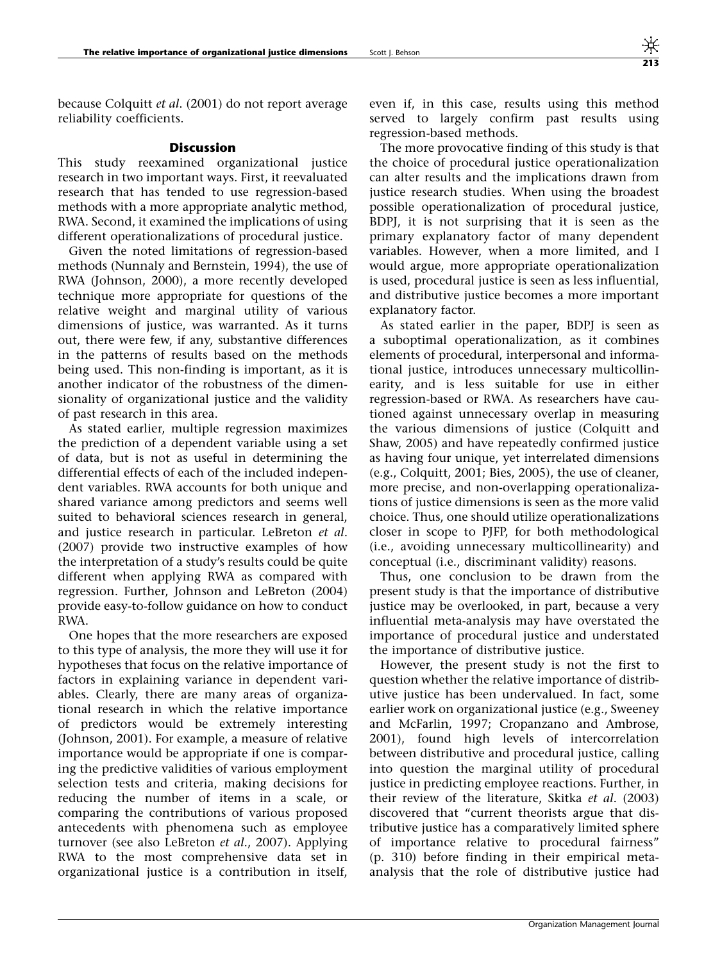because Colquitt et al. (2001) do not report average reliability coefficients.

#### Discussion

This study reexamined organizational justice research in two important ways. First, it reevaluated research that has tended to use regression-based methods with a more appropriate analytic method, RWA. Second, it examined the implications of using different operationalizations of procedural justice.

Given the noted limitations of regression-based methods (Nunnaly and Bernstein, 1994), the use of RWA (Johnson, 2000), a more recently developed technique more appropriate for questions of the relative weight and marginal utility of various dimensions of justice, was warranted. As it turns out, there were few, if any, substantive differences in the patterns of results based on the methods being used. This non-finding is important, as it is another indicator of the robustness of the dimensionality of organizational justice and the validity of past research in this area.

As stated earlier, multiple regression maximizes the prediction of a dependent variable using a set of data, but is not as useful in determining the differential effects of each of the included independent variables. RWA accounts for both unique and shared variance among predictors and seems well suited to behavioral sciences research in general, and justice research in particular. LeBreton et al. (2007) provide two instructive examples of how the interpretation of a study's results could be quite different when applying RWA as compared with regression. Further, Johnson and LeBreton (2004) provide easy-to-follow guidance on how to conduct RWA.

One hopes that the more researchers are exposed to this type of analysis, the more they will use it for hypotheses that focus on the relative importance of factors in explaining variance in dependent variables. Clearly, there are many areas of organizational research in which the relative importance of predictors would be extremely interesting (Johnson, 2001). For example, a measure of relative importance would be appropriate if one is comparing the predictive validities of various employment selection tests and criteria, making decisions for reducing the number of items in a scale, or comparing the contributions of various proposed antecedents with phenomena such as employee turnover (see also LeBreton et al., 2007). Applying RWA to the most comprehensive data set in organizational justice is a contribution in itself,

even if, in this case, results using this method served to largely confirm past results using regression-based methods.

The more provocative finding of this study is that the choice of procedural justice operationalization can alter results and the implications drawn from justice research studies. When using the broadest possible operationalization of procedural justice, BDPJ, it is not surprising that it is seen as the primary explanatory factor of many dependent variables. However, when a more limited, and I would argue, more appropriate operationalization is used, procedural justice is seen as less influential, and distributive justice becomes a more important explanatory factor.

As stated earlier in the paper, BDPJ is seen as a suboptimal operationalization, as it combines elements of procedural, interpersonal and informational justice, introduces unnecessary multicollinearity, and is less suitable for use in either regression-based or RWA. As researchers have cautioned against unnecessary overlap in measuring the various dimensions of justice (Colquitt and Shaw, 2005) and have repeatedly confirmed justice as having four unique, yet interrelated dimensions (e.g., Colquitt, 2001; Bies, 2005), the use of cleaner, more precise, and non-overlapping operationalizations of justice dimensions is seen as the more valid choice. Thus, one should utilize operationalizations closer in scope to PJFP, for both methodological (i.e., avoiding unnecessary multicollinearity) and conceptual (i.e., discriminant validity) reasons.

Thus, one conclusion to be drawn from the present study is that the importance of distributive justice may be overlooked, in part, because a very influential meta-analysis may have overstated the importance of procedural justice and understated the importance of distributive justice.

However, the present study is not the first to question whether the relative importance of distributive justice has been undervalued. In fact, some earlier work on organizational justice (e.g., Sweeney and McFarlin, 1997; Cropanzano and Ambrose, 2001), found high levels of intercorrelation between distributive and procedural justice, calling into question the marginal utility of procedural justice in predicting employee reactions. Further, in their review of the literature, Skitka et al. (2003) discovered that "current theorists argue that distributive justice has a comparatively limited sphere of importance relative to procedural fairness" (p. 310) before finding in their empirical metaanalysis that the role of distributive justice had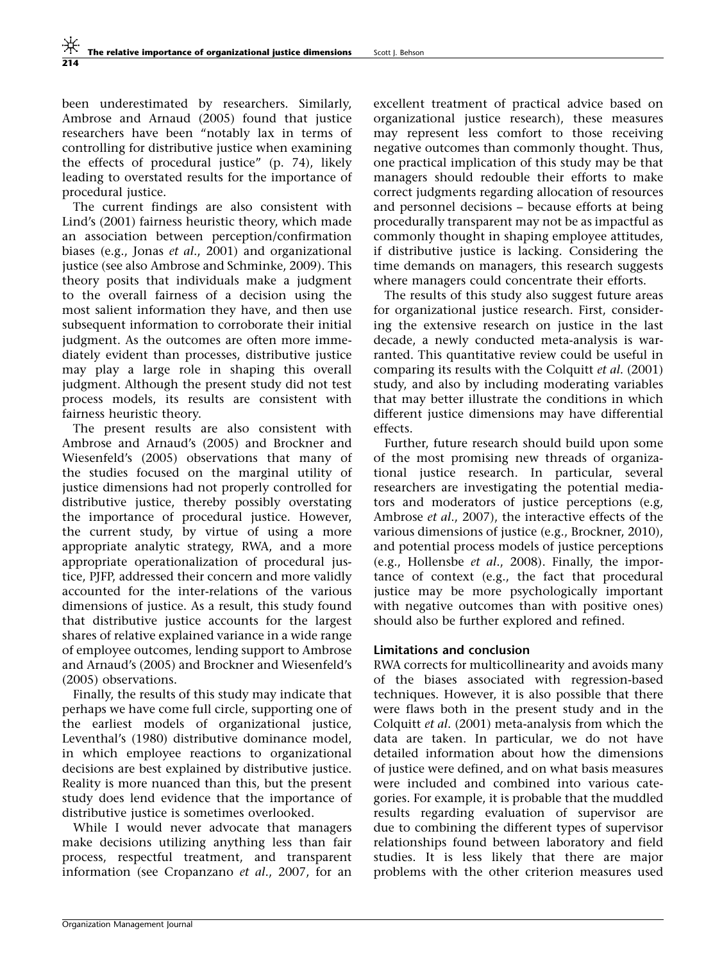been underestimated by researchers. Similarly, Ambrose and Arnaud (2005) found that justice researchers have been "notably lax in terms of controlling for distributive justice when examining the effects of procedural justice" (p. 74), likely leading to overstated results for the importance of procedural justice.

The current findings are also consistent with Lind's (2001) fairness heuristic theory, which made an association between perception/confirmation biases (e.g., Jonas et al., 2001) and organizational justice (see also Ambrose and Schminke, 2009). This theory posits that individuals make a judgment to the overall fairness of a decision using the most salient information they have, and then use subsequent information to corroborate their initial judgment. As the outcomes are often more immediately evident than processes, distributive justice may play a large role in shaping this overall judgment. Although the present study did not test process models, its results are consistent with fairness heuristic theory.

The present results are also consistent with Ambrose and Arnaud's (2005) and Brockner and Wiesenfeld's (2005) observations that many of the studies focused on the marginal utility of justice dimensions had not properly controlled for distributive justice, thereby possibly overstating the importance of procedural justice. However, the current study, by virtue of using a more appropriate analytic strategy, RWA, and a more appropriate operationalization of procedural justice, PJFP, addressed their concern and more validly accounted for the inter-relations of the various dimensions of justice. As a result, this study found that distributive justice accounts for the largest shares of relative explained variance in a wide range of employee outcomes, lending support to Ambrose and Arnaud's (2005) and Brockner and Wiesenfeld's (2005) observations.

Finally, the results of this study may indicate that perhaps we have come full circle, supporting one of the earliest models of organizational justice, Leventhal's (1980) distributive dominance model, in which employee reactions to organizational decisions are best explained by distributive justice. Reality is more nuanced than this, but the present study does lend evidence that the importance of distributive justice is sometimes overlooked.

While I would never advocate that managers make decisions utilizing anything less than fair process, respectful treatment, and transparent information (see Cropanzano et al., 2007, for an excellent treatment of practical advice based on organizational justice research), these measures may represent less comfort to those receiving negative outcomes than commonly thought. Thus, one practical implication of this study may be that managers should redouble their efforts to make correct judgments regarding allocation of resources and personnel decisions – because efforts at being procedurally transparent may not be as impactful as commonly thought in shaping employee attitudes, if distributive justice is lacking. Considering the time demands on managers, this research suggests where managers could concentrate their efforts.

The results of this study also suggest future areas for organizational justice research. First, considering the extensive research on justice in the last decade, a newly conducted meta-analysis is warranted. This quantitative review could be useful in comparing its results with the Colquitt et al. (2001) study, and also by including moderating variables that may better illustrate the conditions in which different justice dimensions may have differential effects.

Further, future research should build upon some of the most promising new threads of organizational justice research. In particular, several researchers are investigating the potential mediators and moderators of justice perceptions (e.g, Ambrose et al., 2007), the interactive effects of the various dimensions of justice (e.g., Brockner, 2010), and potential process models of justice perceptions (e.g., Hollensbe et al., 2008). Finally, the importance of context (e.g., the fact that procedural justice may be more psychologically important with negative outcomes than with positive ones) should also be further explored and refined.

#### Limitations and conclusion

RWA corrects for multicollinearity and avoids many of the biases associated with regression-based techniques. However, it is also possible that there were flaws both in the present study and in the Colquitt et al. (2001) meta-analysis from which the data are taken. In particular, we do not have detailed information about how the dimensions of justice were defined, and on what basis measures were included and combined into various categories. For example, it is probable that the muddled results regarding evaluation of supervisor are due to combining the different types of supervisor relationships found between laboratory and field studies. It is less likely that there are major problems with the other criterion measures used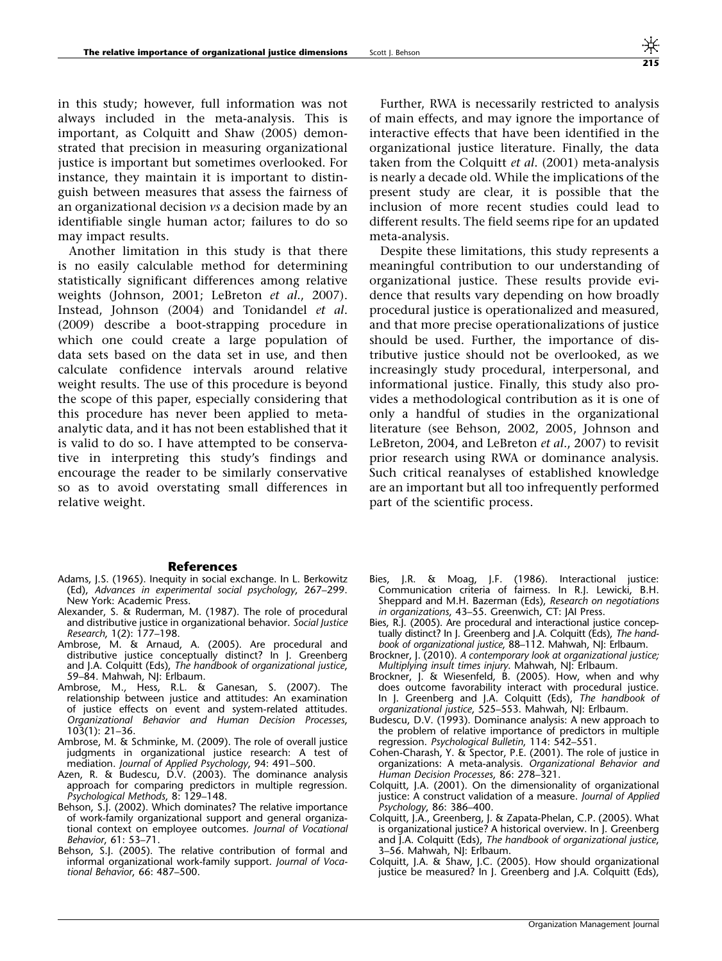in this study; however, full information was not always included in the meta-analysis. This is important, as Colquitt and Shaw (2005) demonstrated that precision in measuring organizational justice is important but sometimes overlooked. For instance, they maintain it is important to distinguish between measures that assess the fairness of an organizational decision vs a decision made by an identifiable single human actor; failures to do so may impact results.

Another limitation in this study is that there is no easily calculable method for determining statistically significant differences among relative weights (Johnson, 2001; LeBreton et al., 2007). Instead, Johnson (2004) and Tonidandel et al. (2009) describe a boot-strapping procedure in which one could create a large population of data sets based on the data set in use, and then calculate confidence intervals around relative weight results. The use of this procedure is beyond the scope of this paper, especially considering that this procedure has never been applied to metaanalytic data, and it has not been established that it is valid to do so. I have attempted to be conservative in interpreting this study's findings and encourage the reader to be similarly conservative so as to avoid overstating small differences in relative weight.

#### References

- Adams, J.S. (1965). Inequity in social exchange. In L. Berkowitz (Ed), Advances in experimental social psychology, 267–299. New York: Academic Press.
- Alexander, S. & Ruderman, M. (1987). The role of procedural and distributive justice in organizational behavior. Social Justice Research, 1(2): 177–198.
- Ambrose, M. & Arnaud, A. (2005). Are procedural and distributive justice conceptually distinct? In J. Greenberg and J.A. Colquitt (Eds), The handbook of organizational justice, 59–84. Mahwah, NJ: Erlbaum.
- Ambrose, M., Hess, R.L. & Ganesan, S. (2007). The relationship between justice and attitudes: An examination of justice effects on event and system-related attitudes. Organizational Behavior and Human Decision Processes, 103(1): 21–36.
- Ambrose, M. & Schminke, M. (2009). The role of overall justice judgments in organizational justice research: A test of mediation. Journal of Applied Psychology, 94: 491-500.
- Azen, R. & Budescu, D.V. (2003). The dominance analysis approach for comparing predictors in multiple regression. Psychological Methods, 8: 129–148.
- Behson, S.J. (2002). Which dominates? The relative importance of work-family organizational support and general organizational context on employee outcomes. Journal of Vocational Behavior, 61: 53–71.
- Behson, S.J. (2005). The relative contribution of formal and informal organizational work-family support. Journal of Vocational Behavior, 66: 487–500.

Further, RWA is necessarily restricted to analysis of main effects, and may ignore the importance of interactive effects that have been identified in the organizational justice literature. Finally, the data taken from the Colquitt et al. (2001) meta-analysis is nearly a decade old. While the implications of the present study are clear, it is possible that the inclusion of more recent studies could lead to different results. The field seems ripe for an updated meta-analysis.

Despite these limitations, this study represents a meaningful contribution to our understanding of organizational justice. These results provide evidence that results vary depending on how broadly procedural justice is operationalized and measured, and that more precise operationalizations of justice should be used. Further, the importance of distributive justice should not be overlooked, as we increasingly study procedural, interpersonal, and informational justice. Finally, this study also provides a methodological contribution as it is one of only a handful of studies in the organizational literature (see Behson, 2002, 2005, Johnson and LeBreton, 2004, and LeBreton et al., 2007) to revisit prior research using RWA or dominance analysis. Such critical reanalyses of established knowledge are an important but all too infrequently performed part of the scientific process.

- Bies, J.R. & Moag, J.F. (1986). Interactional justice: Communication criteria of fairness. In R.J. Lewicki, B.H. Sheppard and M.H. Bazerman (Eds), Research on negotiations in organizations, 43–55. Greenwich, CT: JAI Press.
- Bies, R.J. (2005). Are procedural and interactional justice conceptually distinct? In J. Greenberg and J.A. Colquitt (Eds), The handbook of organizational justice, 88–112. Mahwah, NJ: Erlbaum.
- Brockner, J. (2010). A contemporary look at organizational justice; Multiplying insult times injury. Mahwah, NJ: Erlbaum.
- Brockner, J. & Wiesenfeld, B. (2005). How, when and why does outcome favorability interact with procedural justice. In J. Greenberg and J.A. Colquitt (Eds), The handbook of organizational justice, 525–553. Mahwah, NJ: Erlbaum.
- Budescu, D.V. (1993). Dominance analysis: A new approach to the problem of relative importance of predictors in multiple regression. Psychological Bulletin, 114: 542–551.
- Cohen-Charash, Y. & Spector, P.E. (2001). The role of justice in organizations: A meta-analysis. Organizational Behavior and Human Decision Processes, 86: 278–321.
- Colquitt, J.A. (2001). On the dimensionality of organizational justice: A construct validation of a measure. Journal of Applied Psychology, 86: 386–400.
- Colquitt, J.A., Greenberg, J. & Zapata-Phelan, C.P. (2005). What is organizational justice? A historical overview. In J. Greenberg and J.A. Colquitt (Eds), The handbook of organizational justice, 3–56. Mahwah, NJ: Erlbaum.
- Colquitt, J.A. & Shaw, J.C. (2005). How should organizational justice be measured? In J. Greenberg and J.A. Colquitt (Eds),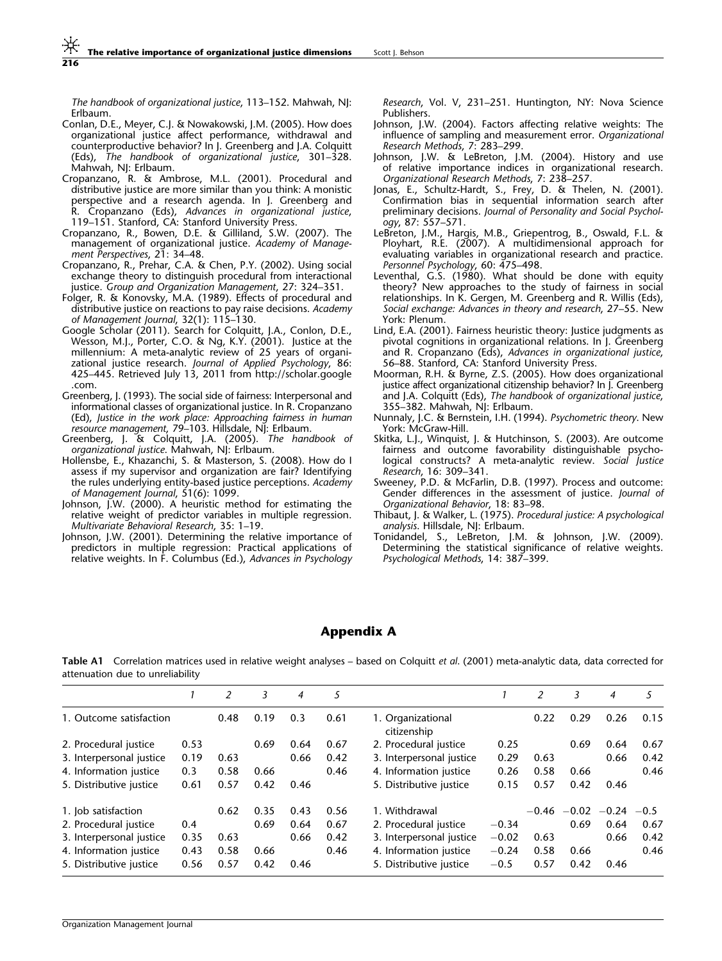The handbook of organizational justice, 113–152. Mahwah, NJ: Erlbaum.

- Conlan, D.E., Meyer, C.J. & Nowakowski, J.M. (2005). How does organizational justice affect performance, withdrawal and counterproductive behavior? In J. Greenberg and J.A. Colquitt (Eds), The handbook of organizational justice, 301–328. Mahwah, NJ: Erlbaum.
- Cropanzano, R. & Ambrose, M.L. (2001). Procedural and distributive justice are more similar than you think: A monistic perspective and a research agenda. In J. Greenberg and R. Cropanzano (Eds), Advances in organizational justice, 119–151. Stanford, CA: Stanford University Press.
- Cropanzano, R., Bowen, D.E. & Gilliland, S.W. (2007). The management of organizational justice. Academy of Management Perspectives, 21: 34-48.
- Cropanzano, R., Prehar, C.A. & Chen, P.Y. (2002). Using social exchange theory to distinguish procedural from interactional justice. Group and Organization Management, 27: 324–351.
- Folger, R. & Konovsky, M.A. (1989). Effects of procedural and distributive justice on reactions to pay raise decisions. Academy of Management Journal, 32(1): 115–130.
- Google Scholar (2011). Search for Colquitt, J.A., Conlon, D.E., Wesson, M.J., Porter, C.O. & Ng, K.Y. (2001). Justice at the millennium: A meta-analytic review of 25 years of organizational justice research. Journal of Applied Psychology, 86: 425–445. Retrieved July 13, 2011 from http://scholar.google .com.
- Greenberg, J. (1993). The social side of fairness: Interpersonal and informational classes of organizational justice. In R. Cropanzano (Ed), Justice in the work place: Approaching fairness in human resource management, 79–103. Hillsdale, NJ: Erlbaum.
- Greenberg, J. & Colquitt, J.A. (2005). The handbook of organizational justice. Mahwah, NJ: Erlbaum.
- Hollensbe, E., Khazanchi, S. & Masterson, S. (2008). How do I assess if my supervisor and organization are fair? Identifying the rules underlying entity-based justice perceptions. Academy of Management Journal, 51(6): 1099.
- Johnson, J.W. (2000). A heuristic method for estimating the relative weight of predictor variables in multiple regression. Multivariate Behavioral Research, 35: 1–19.
- Johnson, J.W. (2001). Determining the relative importance of predictors in multiple regression: Practical applications of relative weights. In F. Columbus (Ed.), Advances in Psychology

Research, Vol. V, 231–251. Huntington, NY: Nova Science Publishers.

- Johnson, J.W. (2004). Factors affecting relative weights: The influence of sampling and measurement error. Organizational Research Methods, 7: 283–299.
- Johnson, J.W. & LeBreton, J.M. (2004). History and use of relative importance indices in organizational research. Organizational Research Methods, 7: 238–257.
- Jonas, E., Schultz-Hardt, S., Frey, D. & Thelen, N. (2001). Confirmation bias in sequential information search after preliminary decisions. Journal of Personality and Social Psychology, 87: 557–571.
- LeBreton, J.M., Hargis, M.B., Griepentrog, B., Oswald, F.L. & Ployhart, R.E. (2007). A multidimensional approach for evaluating variables in organizational research and practice. Personnel Psychology, 60: 475-498.
- Leventhal, G.S. (1980). What should be done with equity theory? New approaches to the study of fairness in social relationships. In K. Gergen, M. Greenberg and R. Willis (Eds), Social exchange: Advances in theory and research, 27–55. New York: Plenum.
- Lind, E.A. (2001). Fairness heuristic theory: Justice judgments as pivotal cognitions in organizational relations. In J. Greenberg and R. Cropanzano (Eds), Advances in organizational justice, 56–88. Stanford, CA: Stanford University Press.
- Moorman, R.H. & Byrne, Z.S. (2005). How does organizational justice affect organizational citizenship behavior? In J. Greenberg and J.A. Colquitt (Eds), The handbook of organizational justice, 355–382. Mahwah, NJ: Erlbaum.
- Nunnaly, J.C. & Bernstein, I.H. (1994). Psychometric theory. New York: McGraw-Hill.
- Skitka, L.J., Winquist, J. & Hutchinson, S. (2003). Are outcome fairness and outcome favorability distinguishable psychological constructs? A meta-analytic review. Social Justice Research, 16: 309–341.
- Sweeney, P.D. & McFarlin, D.B. (1997). Process and outcome: Gender differences in the assessment of justice. Journal of Organizational Behavior, 18: 83–98.
- Thibaut, J. & Walker, L. (1975). Procedural justice: A psychological analysis. Hillsdale, NJ: Erlbaum.
- Tonidandel, S., LeBreton, J.M. & Johnson, J.W. (2009). Determining the statistical significance of relative weights. Psychological Methods, 14: 387–399.

#### Appendix A

|                          |      | $\mathcal{P}$ | 3    | $\overline{4}$ | 5    |                                  |         | 2    | 3              | 4       | 5      |
|--------------------------|------|---------------|------|----------------|------|----------------------------------|---------|------|----------------|---------|--------|
| 1. Outcome satisfaction  |      | 0.48          | 0.19 | 0.3            | 0.61 | 1. Organizational<br>citizenship |         | 0.22 | 0.29           | 0.26    | 0.15   |
| 2. Procedural justice    | 0.53 |               | 0.69 | 0.64           | 0.67 | 2. Procedural justice            | 0.25    |      | 0.69           | 0.64    | 0.67   |
| 3. Interpersonal justice | 0.19 | 0.63          |      | 0.66           | 0.42 | 3. Interpersonal justice         | 0.29    | 0.63 |                | 0.66    | 0.42   |
| 4. Information justice   | 0.3  | 0.58          | 0.66 |                | 0.46 | 4. Information justice           | 0.26    | 0.58 | 0.66           |         | 0.46   |
| 5. Distributive justice  | 0.61 | 0.57          | 0.42 | 0.46           |      | 5. Distributive justice          | 0.15    | 0.57 | 0.42           | 0.46    |        |
| 1. Job satisfaction      |      | 0.62          | 0.35 | 0.43           | 0.56 | 1. Withdrawal                    |         |      | $-0.46 - 0.02$ | $-0.24$ | $-0.5$ |
| 2. Procedural justice    | 0.4  |               | 0.69 | 0.64           | 0.67 | 2. Procedural justice            | $-0.34$ |      | 0.69           | 0.64    | 0.67   |
| 3. Interpersonal justice | 0.35 | 0.63          |      | 0.66           | 0.42 | 3. Interpersonal justice         | $-0.02$ | 0.63 |                | 0.66    | 0.42   |
| 4. Information justice   | 0.43 | 0.58          | 0.66 |                | 0.46 | 4. Information justice           | $-0.24$ | 0.58 | 0.66           |         | 0.46   |
| 5. Distributive justice  | 0.56 | 0.57          | 0.42 | 0.46           |      | 5. Distributive justice          | $-0.5$  | 0.57 | 0.42           | 0.46    |        |

Table A1 Correlation matrices used in relative weight analyses – based on Colquitt et al. (2001) meta-analytic data, data corrected for attenuation due to unreliability